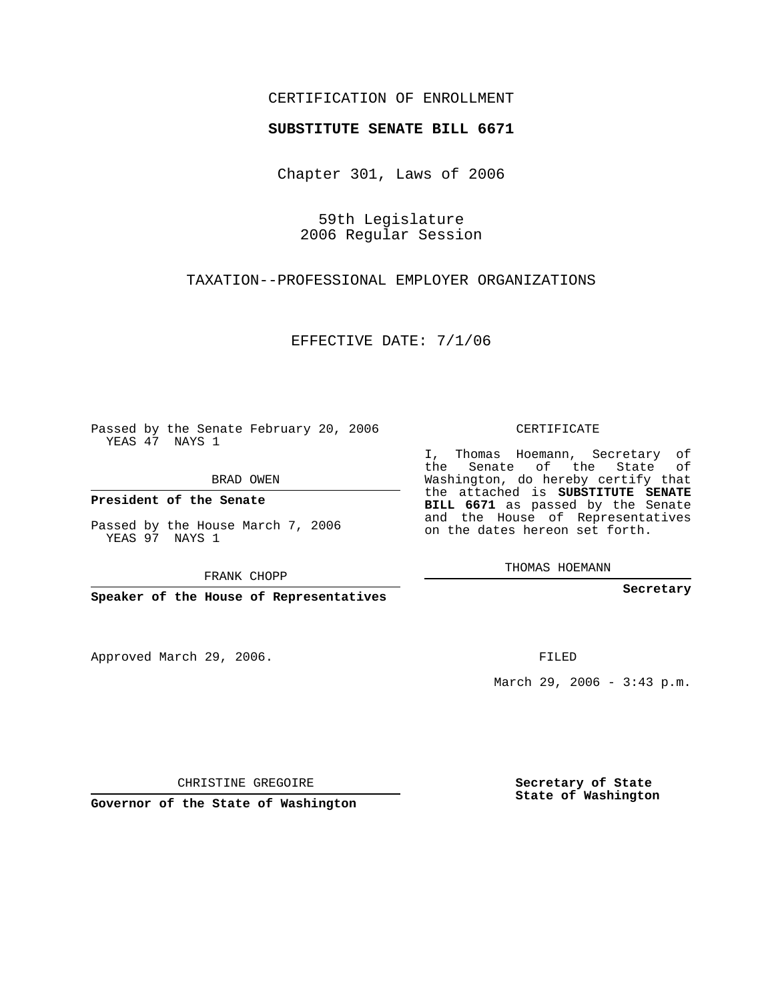## CERTIFICATION OF ENROLLMENT

## **SUBSTITUTE SENATE BILL 6671**

Chapter 301, Laws of 2006

59th Legislature 2006 Regular Session

TAXATION--PROFESSIONAL EMPLOYER ORGANIZATIONS

EFFECTIVE DATE: 7/1/06

Passed by the Senate February 20, 2006 YEAS 47 NAYS 1

BRAD OWEN

**President of the Senate**

Passed by the House March 7, 2006 YEAS 97 NAYS 1

FRANK CHOPP

**Speaker of the House of Representatives**

Approved March 29, 2006.

CERTIFICATE

I, Thomas Hoemann, Secretary of the Senate of the State of Washington, do hereby certify that the attached is **SUBSTITUTE SENATE BILL 6671** as passed by the Senate and the House of Representatives on the dates hereon set forth.

THOMAS HOEMANN

**Secretary**

FILED

March 29, 2006 - 3:43 p.m.

CHRISTINE GREGOIRE

**Governor of the State of Washington**

**Secretary of State State of Washington**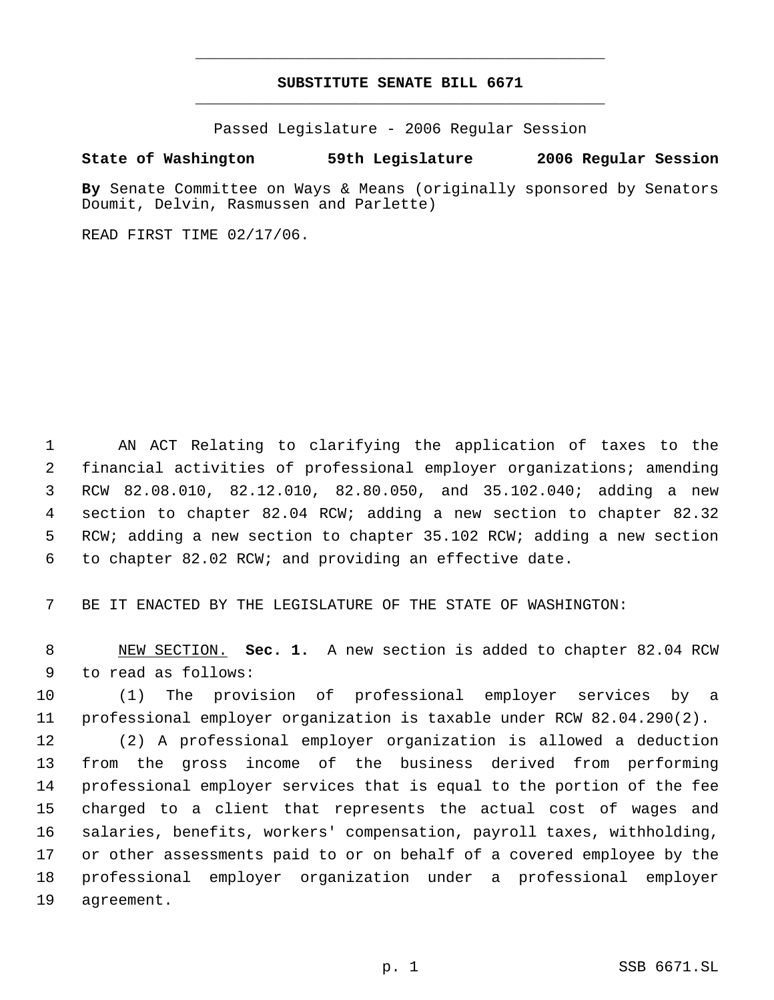## **SUBSTITUTE SENATE BILL 6671** \_\_\_\_\_\_\_\_\_\_\_\_\_\_\_\_\_\_\_\_\_\_\_\_\_\_\_\_\_\_\_\_\_\_\_\_\_\_\_\_\_\_\_\_\_

\_\_\_\_\_\_\_\_\_\_\_\_\_\_\_\_\_\_\_\_\_\_\_\_\_\_\_\_\_\_\_\_\_\_\_\_\_\_\_\_\_\_\_\_\_

Passed Legislature - 2006 Regular Session

## **State of Washington 59th Legislature 2006 Regular Session**

**By** Senate Committee on Ways & Means (originally sponsored by Senators Doumit, Delvin, Rasmussen and Parlette)

READ FIRST TIME 02/17/06.

 AN ACT Relating to clarifying the application of taxes to the financial activities of professional employer organizations; amending RCW 82.08.010, 82.12.010, 82.80.050, and 35.102.040; adding a new section to chapter 82.04 RCW; adding a new section to chapter 82.32 RCW; adding a new section to chapter 35.102 RCW; adding a new section to chapter 82.02 RCW; and providing an effective date.

BE IT ENACTED BY THE LEGISLATURE OF THE STATE OF WASHINGTON:

 NEW SECTION. **Sec. 1.** A new section is added to chapter 82.04 RCW to read as follows:

 (1) The provision of professional employer services by a professional employer organization is taxable under RCW 82.04.290(2).

 (2) A professional employer organization is allowed a deduction from the gross income of the business derived from performing professional employer services that is equal to the portion of the fee charged to a client that represents the actual cost of wages and salaries, benefits, workers' compensation, payroll taxes, withholding, or other assessments paid to or on behalf of a covered employee by the professional employer organization under a professional employer agreement.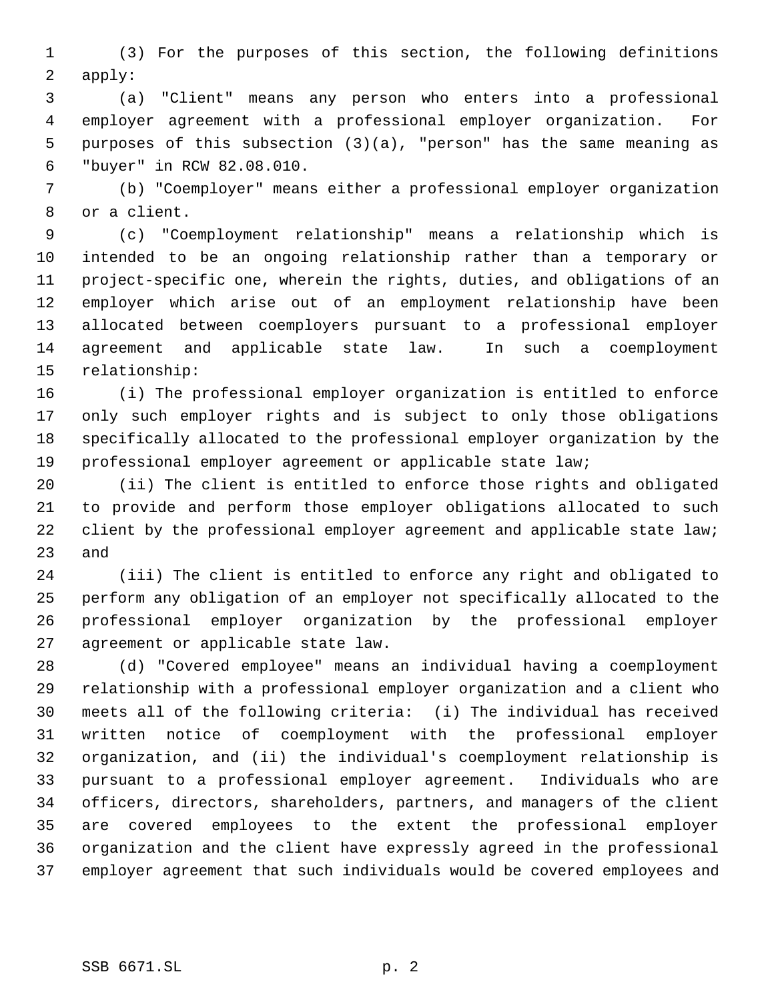(3) For the purposes of this section, the following definitions apply:

 (a) "Client" means any person who enters into a professional employer agreement with a professional employer organization. For purposes of this subsection (3)(a), "person" has the same meaning as "buyer" in RCW 82.08.010.

 (b) "Coemployer" means either a professional employer organization or a client.

 (c) "Coemployment relationship" means a relationship which is intended to be an ongoing relationship rather than a temporary or project-specific one, wherein the rights, duties, and obligations of an employer which arise out of an employment relationship have been allocated between coemployers pursuant to a professional employer agreement and applicable state law. In such a coemployment relationship:

 (i) The professional employer organization is entitled to enforce only such employer rights and is subject to only those obligations specifically allocated to the professional employer organization by the professional employer agreement or applicable state law;

 (ii) The client is entitled to enforce those rights and obligated to provide and perform those employer obligations allocated to such 22 client by the professional employer agreement and applicable state law; and

 (iii) The client is entitled to enforce any right and obligated to perform any obligation of an employer not specifically allocated to the professional employer organization by the professional employer agreement or applicable state law.

 (d) "Covered employee" means an individual having a coemployment relationship with a professional employer organization and a client who meets all of the following criteria: (i) The individual has received written notice of coemployment with the professional employer organization, and (ii) the individual's coemployment relationship is pursuant to a professional employer agreement. Individuals who are officers, directors, shareholders, partners, and managers of the client are covered employees to the extent the professional employer organization and the client have expressly agreed in the professional employer agreement that such individuals would be covered employees and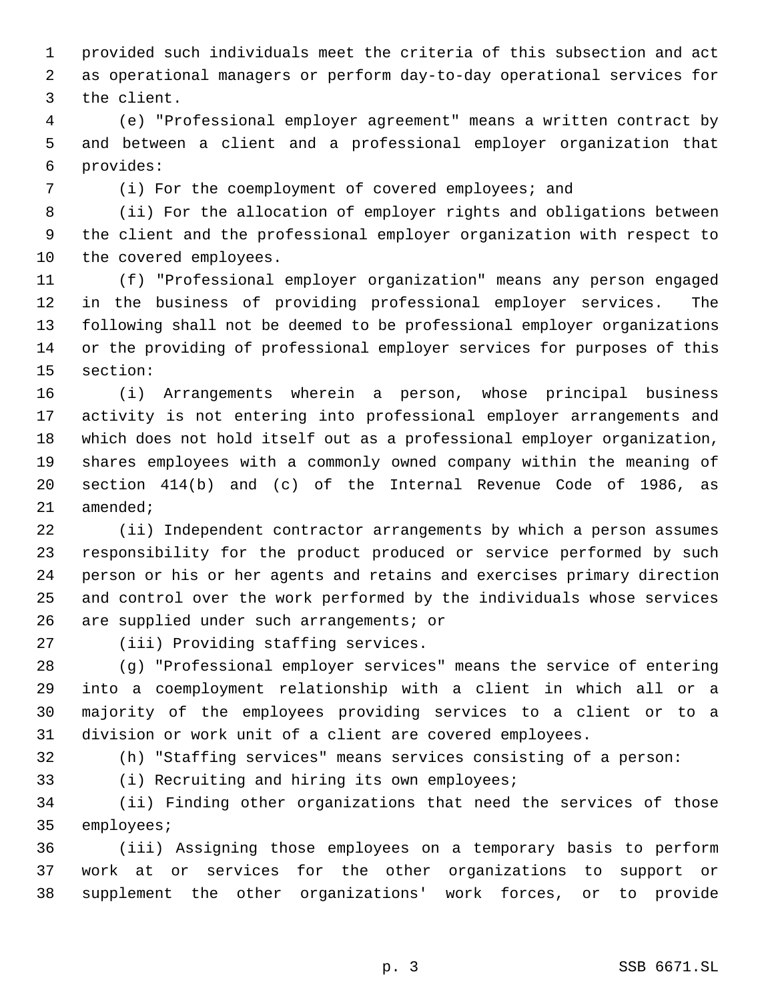provided such individuals meet the criteria of this subsection and act as operational managers or perform day-to-day operational services for the client.

 (e) "Professional employer agreement" means a written contract by and between a client and a professional employer organization that provides:

(i) For the coemployment of covered employees; and

 (ii) For the allocation of employer rights and obligations between the client and the professional employer organization with respect to the covered employees.

 (f) "Professional employer organization" means any person engaged in the business of providing professional employer services. The following shall not be deemed to be professional employer organizations or the providing of professional employer services for purposes of this section:

 (i) Arrangements wherein a person, whose principal business activity is not entering into professional employer arrangements and which does not hold itself out as a professional employer organization, shares employees with a commonly owned company within the meaning of section 414(b) and (c) of the Internal Revenue Code of 1986, as amended;

 (ii) Independent contractor arrangements by which a person assumes responsibility for the product produced or service performed by such person or his or her agents and retains and exercises primary direction and control over the work performed by the individuals whose services are supplied under such arrangements; or

(iii) Providing staffing services.

 (g) "Professional employer services" means the service of entering into a coemployment relationship with a client in which all or a majority of the employees providing services to a client or to a division or work unit of a client are covered employees.

(h) "Staffing services" means services consisting of a person:

(i) Recruiting and hiring its own employees;

 (ii) Finding other organizations that need the services of those employees;

 (iii) Assigning those employees on a temporary basis to perform work at or services for the other organizations to support or supplement the other organizations' work forces, or to provide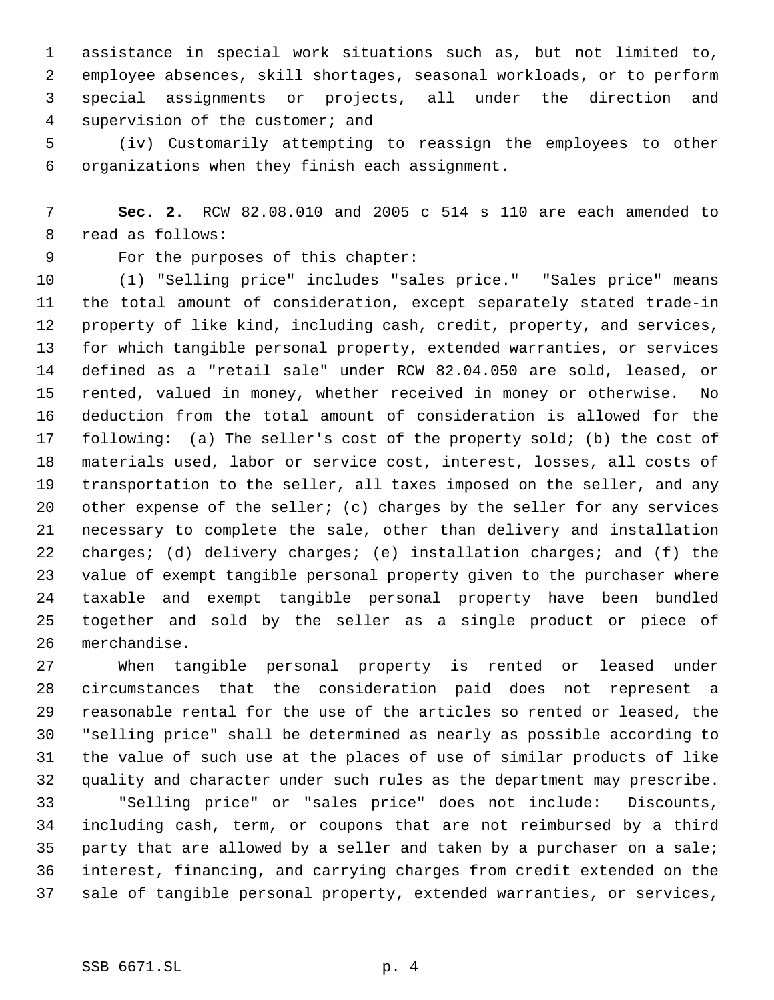assistance in special work situations such as, but not limited to, employee absences, skill shortages, seasonal workloads, or to perform special assignments or projects, all under the direction and supervision of the customer; and

 (iv) Customarily attempting to reassign the employees to other organizations when they finish each assignment.

 **Sec. 2.** RCW 82.08.010 and 2005 c 514 s 110 are each amended to read as follows:

For the purposes of this chapter:

 (1) "Selling price" includes "sales price." "Sales price" means the total amount of consideration, except separately stated trade-in property of like kind, including cash, credit, property, and services, for which tangible personal property, extended warranties, or services defined as a "retail sale" under RCW 82.04.050 are sold, leased, or rented, valued in money, whether received in money or otherwise. No deduction from the total amount of consideration is allowed for the following: (a) The seller's cost of the property sold; (b) the cost of materials used, labor or service cost, interest, losses, all costs of transportation to the seller, all taxes imposed on the seller, and any other expense of the seller; (c) charges by the seller for any services necessary to complete the sale, other than delivery and installation 22 charges; (d) delivery charges; (e) installation charges; and (f) the value of exempt tangible personal property given to the purchaser where taxable and exempt tangible personal property have been bundled together and sold by the seller as a single product or piece of merchandise.

 When tangible personal property is rented or leased under circumstances that the consideration paid does not represent a reasonable rental for the use of the articles so rented or leased, the "selling price" shall be determined as nearly as possible according to the value of such use at the places of use of similar products of like quality and character under such rules as the department may prescribe.

 "Selling price" or "sales price" does not include: Discounts, including cash, term, or coupons that are not reimbursed by a third party that are allowed by a seller and taken by a purchaser on a sale; interest, financing, and carrying charges from credit extended on the sale of tangible personal property, extended warranties, or services,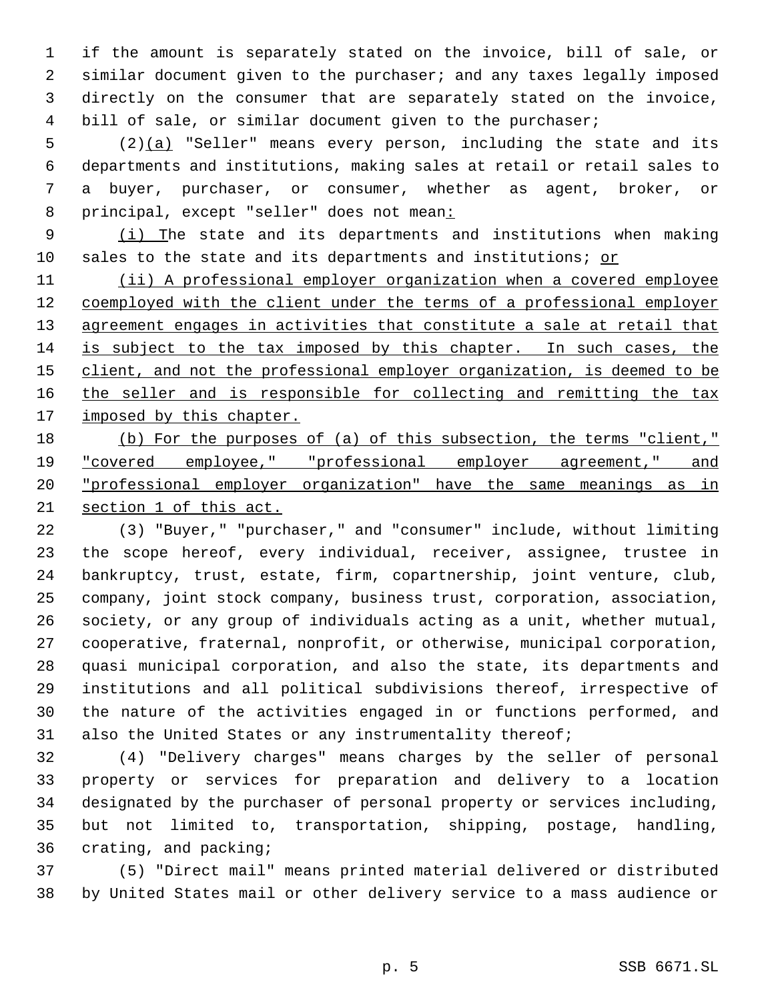if the amount is separately stated on the invoice, bill of sale, or similar document given to the purchaser; and any taxes legally imposed directly on the consumer that are separately stated on the invoice, bill of sale, or similar document given to the purchaser;

5 (2) $(a)$  "Seller" means every person, including the state and its departments and institutions, making sales at retail or retail sales to a buyer, purchaser, or consumer, whether as agent, broker, or principal, except "seller" does not mean:

 (i) The state and its departments and institutions when making 10 sales to the state and its departments and institutions; or

11 (ii) A professional employer organization when a covered employee 12 coemployed with the client under the terms of a professional employer 13 agreement engages in activities that constitute a sale at retail that is subject to the tax imposed by this chapter. In such cases, the 15 client, and not the professional employer organization, is deemed to be 16 the seller and is responsible for collecting and remitting the tax 17 imposed by this chapter.

18 (b) For the purposes of (a) of this subsection, the terms "client," "covered employee," "professional employer agreement," and "professional employer organization" have the same meanings as in section 1 of this act.

 (3) "Buyer," "purchaser," and "consumer" include, without limiting the scope hereof, every individual, receiver, assignee, trustee in bankruptcy, trust, estate, firm, copartnership, joint venture, club, company, joint stock company, business trust, corporation, association, society, or any group of individuals acting as a unit, whether mutual, cooperative, fraternal, nonprofit, or otherwise, municipal corporation, quasi municipal corporation, and also the state, its departments and institutions and all political subdivisions thereof, irrespective of the nature of the activities engaged in or functions performed, and also the United States or any instrumentality thereof;

 (4) "Delivery charges" means charges by the seller of personal property or services for preparation and delivery to a location designated by the purchaser of personal property or services including, but not limited to, transportation, shipping, postage, handling, crating, and packing;

 (5) "Direct mail" means printed material delivered or distributed by United States mail or other delivery service to a mass audience or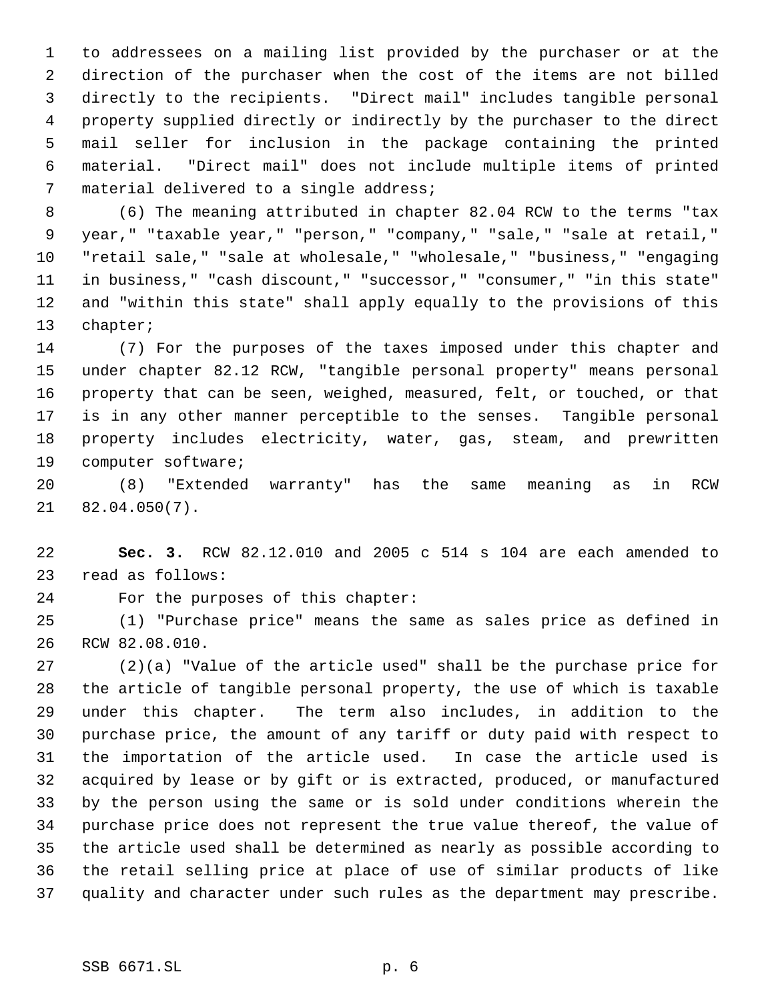to addressees on a mailing list provided by the purchaser or at the direction of the purchaser when the cost of the items are not billed directly to the recipients. "Direct mail" includes tangible personal property supplied directly or indirectly by the purchaser to the direct mail seller for inclusion in the package containing the printed material. "Direct mail" does not include multiple items of printed material delivered to a single address;

 (6) The meaning attributed in chapter 82.04 RCW to the terms "tax year," "taxable year," "person," "company," "sale," "sale at retail," "retail sale," "sale at wholesale," "wholesale," "business," "engaging in business," "cash discount," "successor," "consumer," "in this state" and "within this state" shall apply equally to the provisions of this chapter;

 (7) For the purposes of the taxes imposed under this chapter and under chapter 82.12 RCW, "tangible personal property" means personal property that can be seen, weighed, measured, felt, or touched, or that is in any other manner perceptible to the senses. Tangible personal property includes electricity, water, gas, steam, and prewritten computer software;

 (8) "Extended warranty" has the same meaning as in RCW 82.04.050(7).

 **Sec. 3.** RCW 82.12.010 and 2005 c 514 s 104 are each amended to read as follows:

For the purposes of this chapter:

 (1) "Purchase price" means the same as sales price as defined in RCW 82.08.010.

 (2)(a) "Value of the article used" shall be the purchase price for the article of tangible personal property, the use of which is taxable under this chapter. The term also includes, in addition to the purchase price, the amount of any tariff or duty paid with respect to the importation of the article used. In case the article used is acquired by lease or by gift or is extracted, produced, or manufactured by the person using the same or is sold under conditions wherein the purchase price does not represent the true value thereof, the value of the article used shall be determined as nearly as possible according to the retail selling price at place of use of similar products of like quality and character under such rules as the department may prescribe.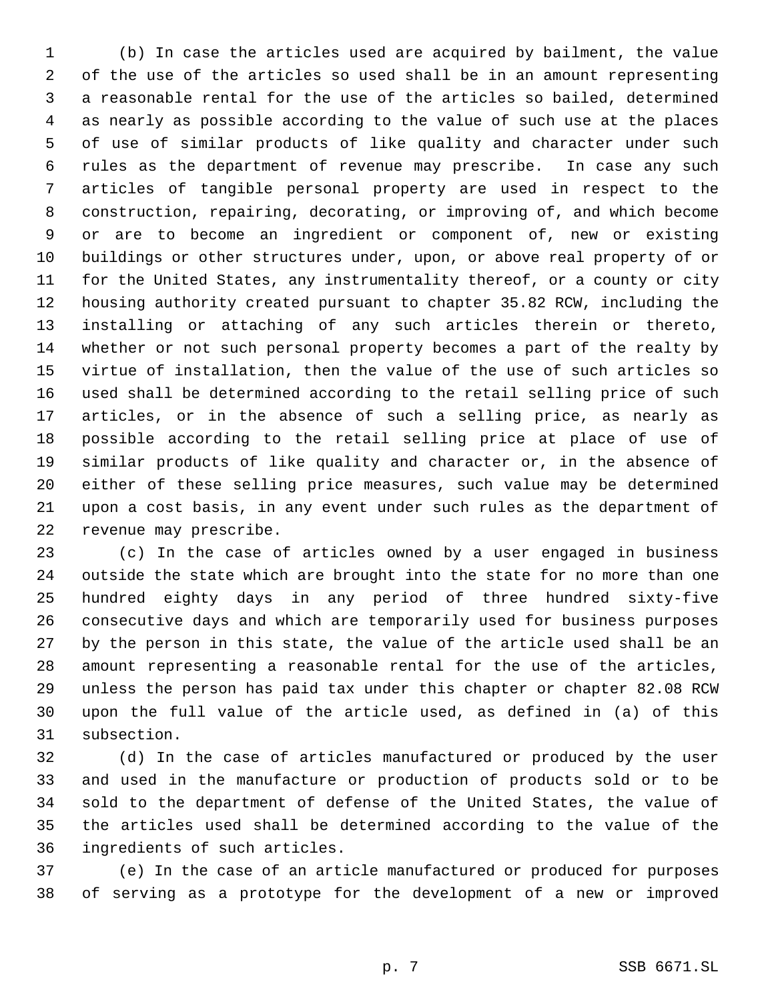(b) In case the articles used are acquired by bailment, the value of the use of the articles so used shall be in an amount representing a reasonable rental for the use of the articles so bailed, determined as nearly as possible according to the value of such use at the places of use of similar products of like quality and character under such rules as the department of revenue may prescribe. In case any such articles of tangible personal property are used in respect to the construction, repairing, decorating, or improving of, and which become or are to become an ingredient or component of, new or existing buildings or other structures under, upon, or above real property of or for the United States, any instrumentality thereof, or a county or city housing authority created pursuant to chapter 35.82 RCW, including the installing or attaching of any such articles therein or thereto, whether or not such personal property becomes a part of the realty by virtue of installation, then the value of the use of such articles so used shall be determined according to the retail selling price of such articles, or in the absence of such a selling price, as nearly as possible according to the retail selling price at place of use of similar products of like quality and character or, in the absence of either of these selling price measures, such value may be determined upon a cost basis, in any event under such rules as the department of revenue may prescribe.

 (c) In the case of articles owned by a user engaged in business outside the state which are brought into the state for no more than one hundred eighty days in any period of three hundred sixty-five consecutive days and which are temporarily used for business purposes by the person in this state, the value of the article used shall be an amount representing a reasonable rental for the use of the articles, unless the person has paid tax under this chapter or chapter 82.08 RCW upon the full value of the article used, as defined in (a) of this subsection.

 (d) In the case of articles manufactured or produced by the user and used in the manufacture or production of products sold or to be sold to the department of defense of the United States, the value of the articles used shall be determined according to the value of the ingredients of such articles.

 (e) In the case of an article manufactured or produced for purposes of serving as a prototype for the development of a new or improved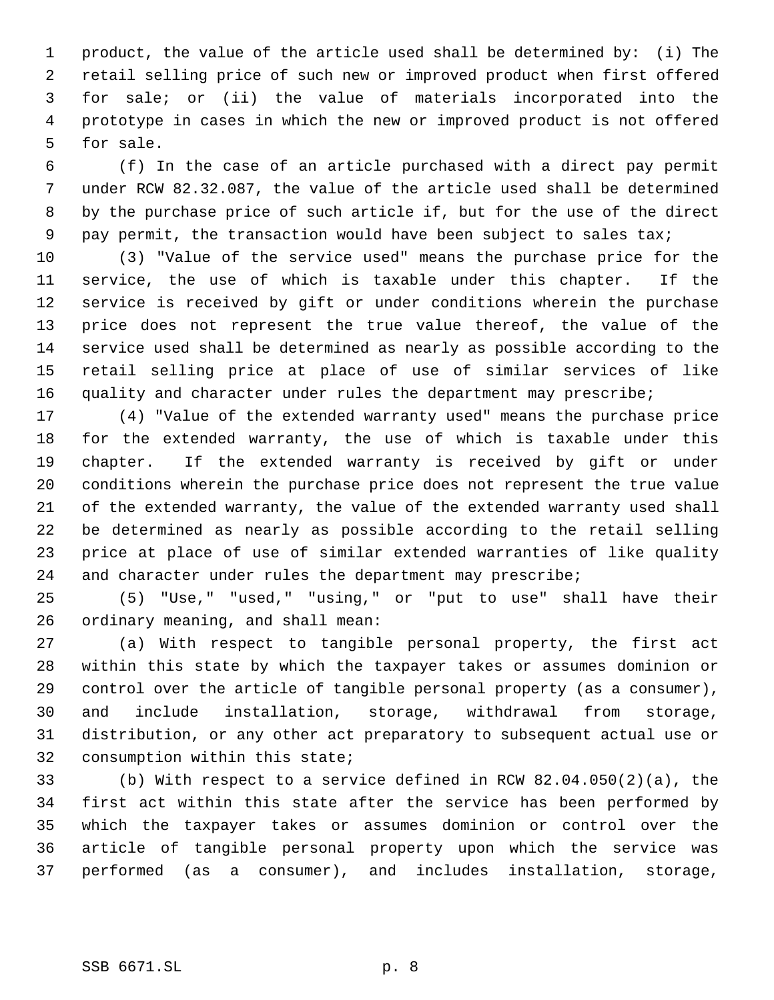product, the value of the article used shall be determined by: (i) The retail selling price of such new or improved product when first offered for sale; or (ii) the value of materials incorporated into the prototype in cases in which the new or improved product is not offered for sale.

 (f) In the case of an article purchased with a direct pay permit under RCW 82.32.087, the value of the article used shall be determined by the purchase price of such article if, but for the use of the direct 9 pay permit, the transaction would have been subject to sales tax;

 (3) "Value of the service used" means the purchase price for the service, the use of which is taxable under this chapter. If the service is received by gift or under conditions wherein the purchase price does not represent the true value thereof, the value of the service used shall be determined as nearly as possible according to the retail selling price at place of use of similar services of like 16 quality and character under rules the department may prescribe;

 (4) "Value of the extended warranty used" means the purchase price for the extended warranty, the use of which is taxable under this chapter. If the extended warranty is received by gift or under conditions wherein the purchase price does not represent the true value of the extended warranty, the value of the extended warranty used shall be determined as nearly as possible according to the retail selling price at place of use of similar extended warranties of like quality and character under rules the department may prescribe;

 (5) "Use," "used," "using," or "put to use" shall have their ordinary meaning, and shall mean:

 (a) With respect to tangible personal property, the first act within this state by which the taxpayer takes or assumes dominion or control over the article of tangible personal property (as a consumer), and include installation, storage, withdrawal from storage, distribution, or any other act preparatory to subsequent actual use or consumption within this state;

 (b) With respect to a service defined in RCW 82.04.050(2)(a), the first act within this state after the service has been performed by which the taxpayer takes or assumes dominion or control over the article of tangible personal property upon which the service was performed (as a consumer), and includes installation, storage,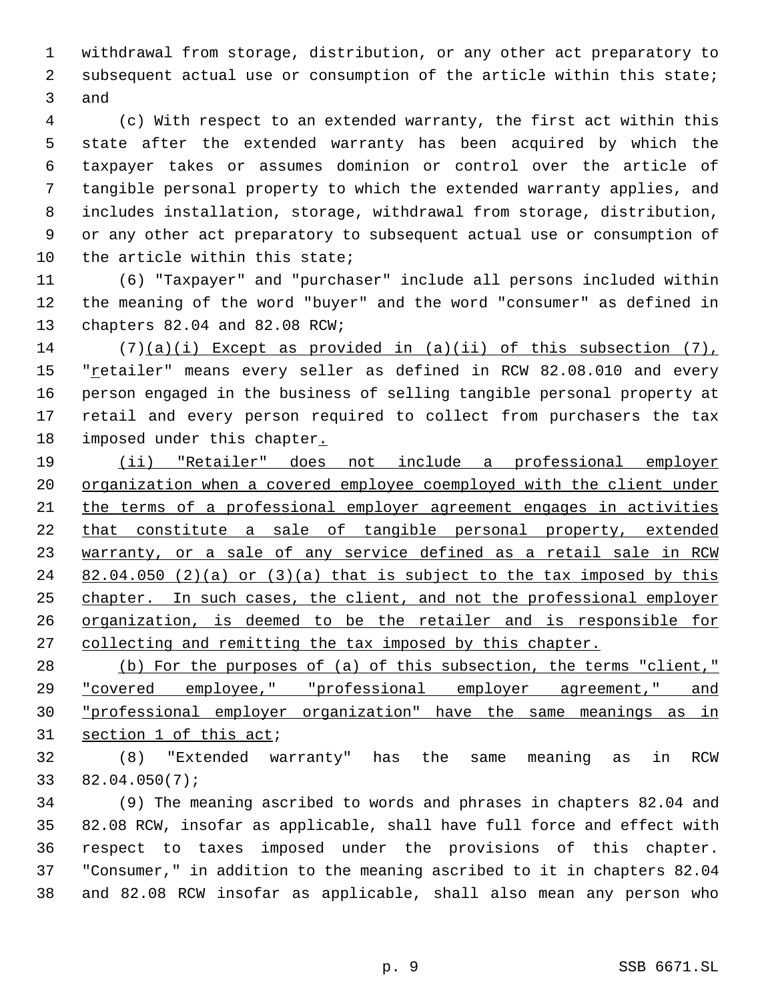withdrawal from storage, distribution, or any other act preparatory to subsequent actual use or consumption of the article within this state; and

 (c) With respect to an extended warranty, the first act within this state after the extended warranty has been acquired by which the taxpayer takes or assumes dominion or control over the article of tangible personal property to which the extended warranty applies, and includes installation, storage, withdrawal from storage, distribution, or any other act preparatory to subsequent actual use or consumption of the article within this state;

 (6) "Taxpayer" and "purchaser" include all persons included within the meaning of the word "buyer" and the word "consumer" as defined in chapters 82.04 and 82.08 RCW;

 (7)(a)(i) Except as provided in (a)(ii) of this subsection (7), 15 "retailer" means every seller as defined in RCW 82.08.010 and every person engaged in the business of selling tangible personal property at retail and every person required to collect from purchasers the tax imposed under this chapter.

 (ii) "Retailer" does not include a professional employer organization when a covered employee coemployed with the client under the terms of a professional employer agreement engages in activities that constitute a sale of tangible personal property, extended warranty, or a sale of any service defined as a retail sale in RCW  $82.04.050$  (2)(a) or (3)(a) that is subject to the tax imposed by this 25 chapter. In such cases, the client, and not the professional employer organization, is deemed to be the retailer and is responsible for 27 collecting and remitting the tax imposed by this chapter.

28 (b) For the purposes of (a) of this subsection, the terms "client," "covered employee," "professional employer agreement," and "professional employer organization" have the same meanings as in 31 section 1 of this act;

 (8) "Extended warranty" has the same meaning as in RCW 82.04.050(7);

 (9) The meaning ascribed to words and phrases in chapters 82.04 and 82.08 RCW, insofar as applicable, shall have full force and effect with respect to taxes imposed under the provisions of this chapter. "Consumer," in addition to the meaning ascribed to it in chapters 82.04 and 82.08 RCW insofar as applicable, shall also mean any person who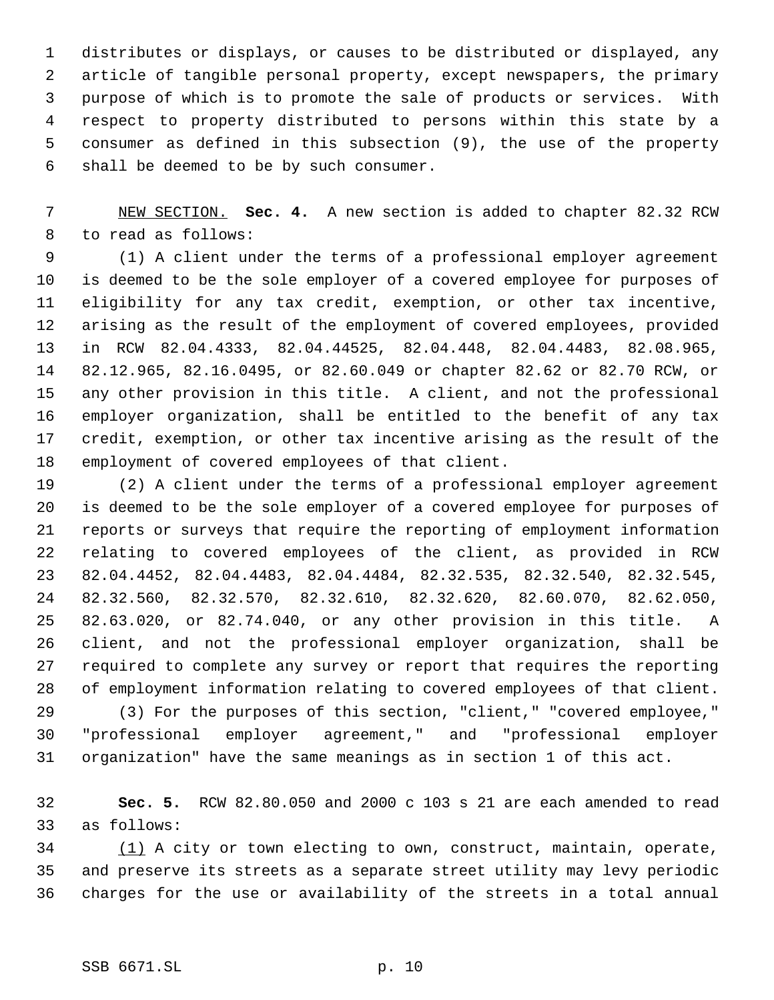distributes or displays, or causes to be distributed or displayed, any article of tangible personal property, except newspapers, the primary purpose of which is to promote the sale of products or services. With respect to property distributed to persons within this state by a consumer as defined in this subsection (9), the use of the property shall be deemed to be by such consumer.

 NEW SECTION. **Sec. 4.** A new section is added to chapter 82.32 RCW to read as follows:

 (1) A client under the terms of a professional employer agreement is deemed to be the sole employer of a covered employee for purposes of eligibility for any tax credit, exemption, or other tax incentive, arising as the result of the employment of covered employees, provided in RCW 82.04.4333, 82.04.44525, 82.04.448, 82.04.4483, 82.08.965, 82.12.965, 82.16.0495, or 82.60.049 or chapter 82.62 or 82.70 RCW, or any other provision in this title. A client, and not the professional employer organization, shall be entitled to the benefit of any tax credit, exemption, or other tax incentive arising as the result of the employment of covered employees of that client.

 (2) A client under the terms of a professional employer agreement is deemed to be the sole employer of a covered employee for purposes of reports or surveys that require the reporting of employment information relating to covered employees of the client, as provided in RCW 82.04.4452, 82.04.4483, 82.04.4484, 82.32.535, 82.32.540, 82.32.545, 82.32.560, 82.32.570, 82.32.610, 82.32.620, 82.60.070, 82.62.050, 82.63.020, or 82.74.040, or any other provision in this title. A client, and not the professional employer organization, shall be required to complete any survey or report that requires the reporting of employment information relating to covered employees of that client. (3) For the purposes of this section, "client," "covered employee,"

 "professional employer agreement," and "professional employer organization" have the same meanings as in section 1 of this act.

 **Sec. 5.** RCW 82.80.050 and 2000 c 103 s 21 are each amended to read as follows:

 (1) A city or town electing to own, construct, maintain, operate, and preserve its streets as a separate street utility may levy periodic charges for the use or availability of the streets in a total annual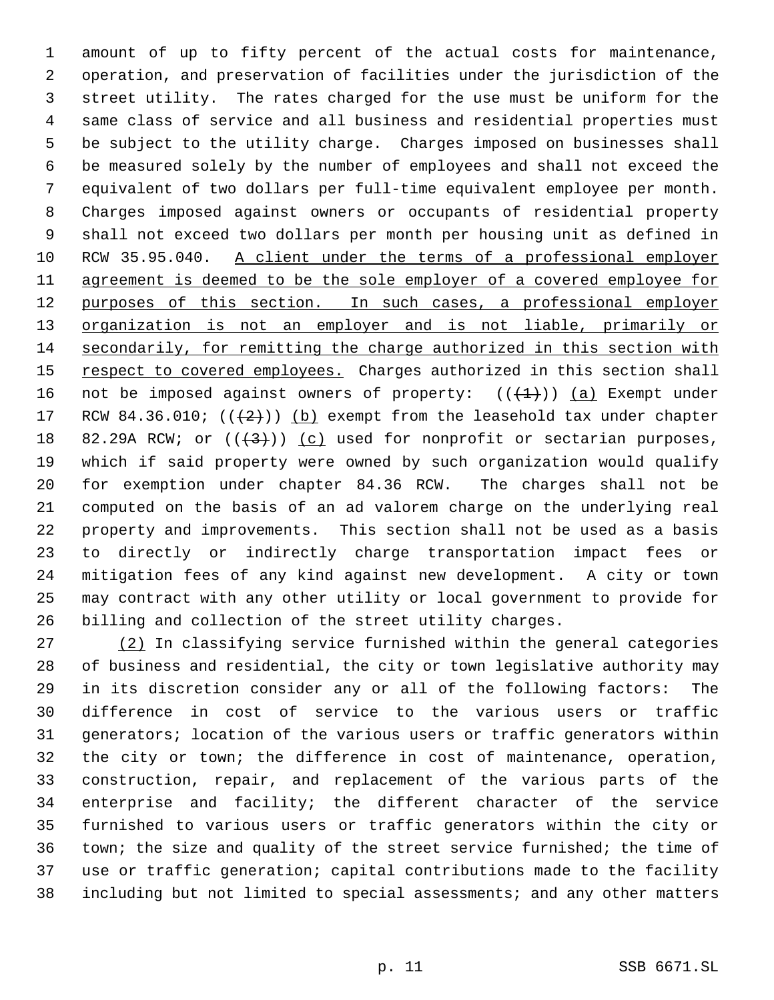amount of up to fifty percent of the actual costs for maintenance, operation, and preservation of facilities under the jurisdiction of the street utility. The rates charged for the use must be uniform for the same class of service and all business and residential properties must be subject to the utility charge. Charges imposed on businesses shall be measured solely by the number of employees and shall not exceed the equivalent of two dollars per full-time equivalent employee per month. Charges imposed against owners or occupants of residential property shall not exceed two dollars per month per housing unit as defined in RCW 35.95.040. A client under the terms of a professional employer agreement is deemed to be the sole employer of a covered employee for 12 purposes of this section. In such cases, a professional employer organization is not an employer and is not liable, primarily or secondarily, for remitting the charge authorized in this section with 15 respect to covered employees. Charges authorized in this section shall 16 not be imposed against owners of property:  $((+1))$   $(a)$  Exempt under 17 RCW 84.36.010;  $((+2))$  (b) exempt from the leasehold tax under chapter 18 82.29A RCW; or  $((+3))$  (c) used for nonprofit or sectarian purposes, which if said property were owned by such organization would qualify for exemption under chapter 84.36 RCW. The charges shall not be computed on the basis of an ad valorem charge on the underlying real property and improvements. This section shall not be used as a basis to directly or indirectly charge transportation impact fees or mitigation fees of any kind against new development. A city or town may contract with any other utility or local government to provide for billing and collection of the street utility charges.

 (2) In classifying service furnished within the general categories of business and residential, the city or town legislative authority may in its discretion consider any or all of the following factors: The difference in cost of service to the various users or traffic generators; location of the various users or traffic generators within the city or town; the difference in cost of maintenance, operation, construction, repair, and replacement of the various parts of the enterprise and facility; the different character of the service furnished to various users or traffic generators within the city or town; the size and quality of the street service furnished; the time of use or traffic generation; capital contributions made to the facility including but not limited to special assessments; and any other matters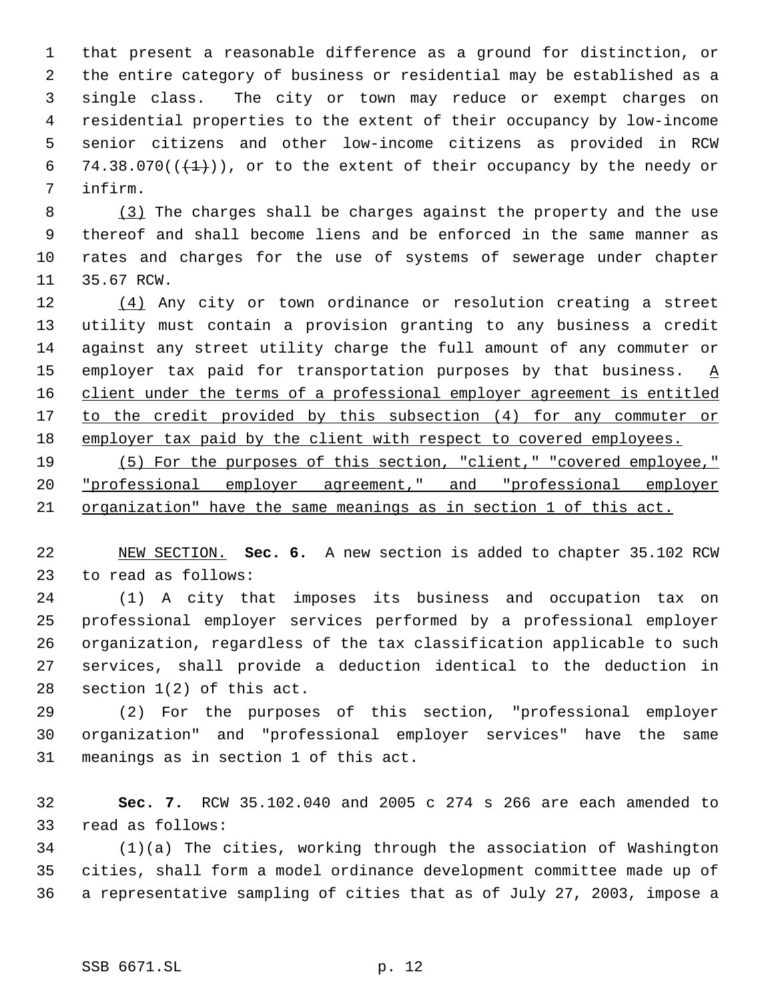that present a reasonable difference as a ground for distinction, or the entire category of business or residential may be established as a single class. The city or town may reduce or exempt charges on residential properties to the extent of their occupancy by low-income senior citizens and other low-income citizens as provided in RCW 6 74.38.070( $(\frac{1}{1})$ ), or to the extent of their occupancy by the needy or infirm.

 (3) The charges shall be charges against the property and the use thereof and shall become liens and be enforced in the same manner as rates and charges for the use of systems of sewerage under chapter 35.67 RCW.

12 (4) Any city or town ordinance or resolution creating a street utility must contain a provision granting to any business a credit against any street utility charge the full amount of any commuter or 15 employer tax paid for transportation purposes by that business.  $\underline{A}$  client under the terms of a professional employer agreement is entitled 17 to the credit provided by this subsection (4) for any commuter or employer tax paid by the client with respect to covered employees.

 (5) For the purposes of this section, "client," "covered employee," "professional employer agreement," and "professional employer organization" have the same meanings as in section 1 of this act.

 NEW SECTION. **Sec. 6.** A new section is added to chapter 35.102 RCW to read as follows:

 (1) A city that imposes its business and occupation tax on professional employer services performed by a professional employer organization, regardless of the tax classification applicable to such services, shall provide a deduction identical to the deduction in section 1(2) of this act.

 (2) For the purposes of this section, "professional employer organization" and "professional employer services" have the same meanings as in section 1 of this act.

 **Sec. 7.** RCW 35.102.040 and 2005 c 274 s 266 are each amended to read as follows:

 (1)(a) The cities, working through the association of Washington cities, shall form a model ordinance development committee made up of a representative sampling of cities that as of July 27, 2003, impose a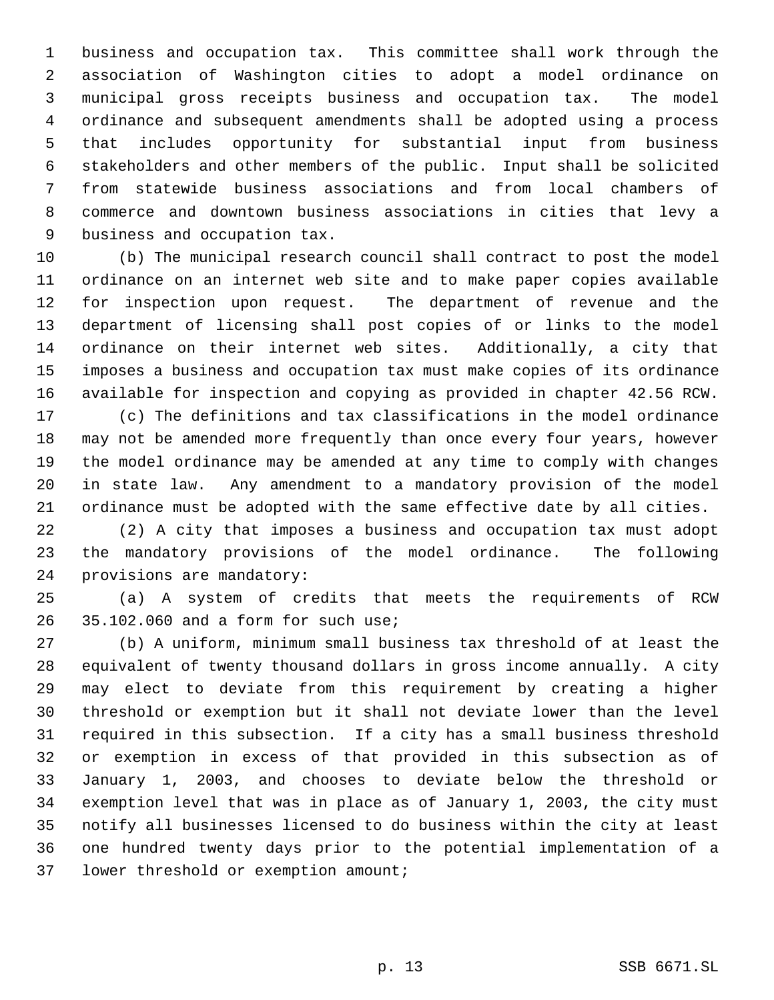business and occupation tax. This committee shall work through the association of Washington cities to adopt a model ordinance on municipal gross receipts business and occupation tax. The model ordinance and subsequent amendments shall be adopted using a process that includes opportunity for substantial input from business stakeholders and other members of the public. Input shall be solicited from statewide business associations and from local chambers of commerce and downtown business associations in cities that levy a business and occupation tax.

 (b) The municipal research council shall contract to post the model ordinance on an internet web site and to make paper copies available for inspection upon request. The department of revenue and the department of licensing shall post copies of or links to the model ordinance on their internet web sites. Additionally, a city that imposes a business and occupation tax must make copies of its ordinance available for inspection and copying as provided in chapter 42.56 RCW.

 (c) The definitions and tax classifications in the model ordinance may not be amended more frequently than once every four years, however the model ordinance may be amended at any time to comply with changes in state law. Any amendment to a mandatory provision of the model ordinance must be adopted with the same effective date by all cities.

 (2) A city that imposes a business and occupation tax must adopt the mandatory provisions of the model ordinance. The following provisions are mandatory:

 (a) A system of credits that meets the requirements of RCW 35.102.060 and a form for such use;

 (b) A uniform, minimum small business tax threshold of at least the equivalent of twenty thousand dollars in gross income annually. A city may elect to deviate from this requirement by creating a higher threshold or exemption but it shall not deviate lower than the level required in this subsection. If a city has a small business threshold or exemption in excess of that provided in this subsection as of January 1, 2003, and chooses to deviate below the threshold or exemption level that was in place as of January 1, 2003, the city must notify all businesses licensed to do business within the city at least one hundred twenty days prior to the potential implementation of a lower threshold or exemption amount;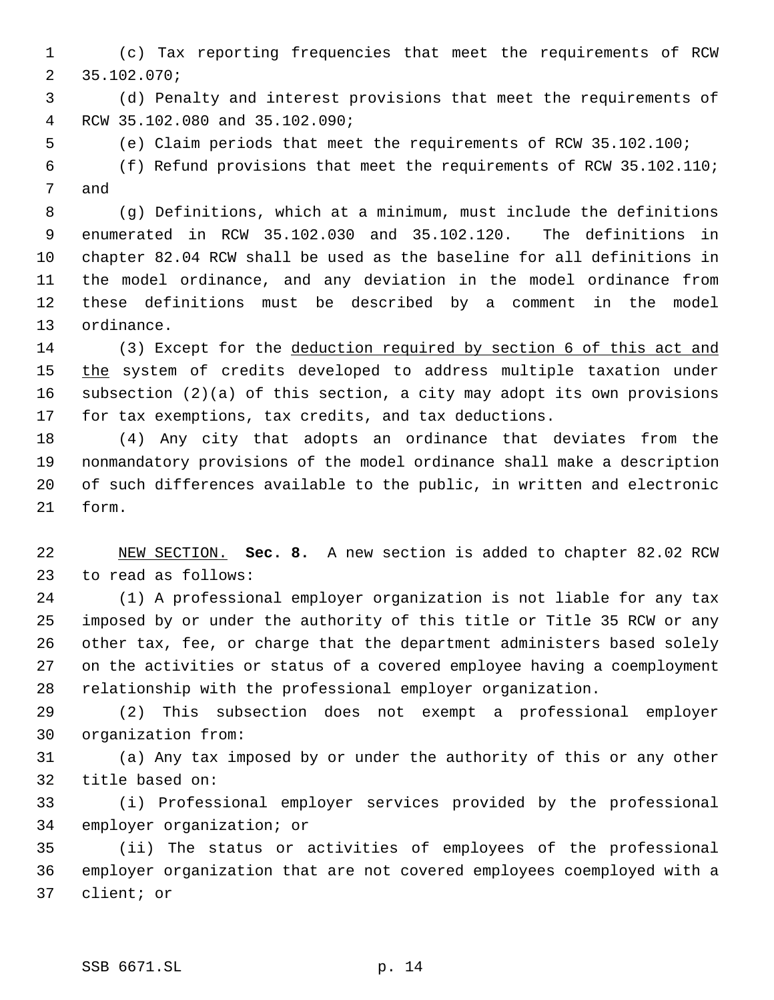(c) Tax reporting frequencies that meet the requirements of RCW 35.102.070;

 (d) Penalty and interest provisions that meet the requirements of RCW 35.102.080 and 35.102.090;

(e) Claim periods that meet the requirements of RCW 35.102.100;

 (f) Refund provisions that meet the requirements of RCW 35.102.110; and

 (g) Definitions, which at a minimum, must include the definitions enumerated in RCW 35.102.030 and 35.102.120. The definitions in chapter 82.04 RCW shall be used as the baseline for all definitions in the model ordinance, and any deviation in the model ordinance from these definitions must be described by a comment in the model ordinance.

 (3) Except for the deduction required by section 6 of this act and 15 the system of credits developed to address multiple taxation under subsection (2)(a) of this section, a city may adopt its own provisions for tax exemptions, tax credits, and tax deductions.

 (4) Any city that adopts an ordinance that deviates from the nonmandatory provisions of the model ordinance shall make a description of such differences available to the public, in written and electronic form.

 NEW SECTION. **Sec. 8.** A new section is added to chapter 82.02 RCW to read as follows:

 (1) A professional employer organization is not liable for any tax imposed by or under the authority of this title or Title 35 RCW or any other tax, fee, or charge that the department administers based solely on the activities or status of a covered employee having a coemployment relationship with the professional employer organization.

 (2) This subsection does not exempt a professional employer organization from:

 (a) Any tax imposed by or under the authority of this or any other title based on:

 (i) Professional employer services provided by the professional employer organization; or

 (ii) The status or activities of employees of the professional employer organization that are not covered employees coemployed with a client; or